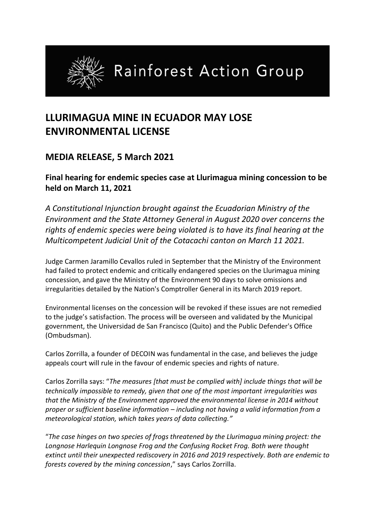

## **LLURIMAGUA MINE IN ECUADOR MAY LOSE ENVIRONMENTAL LICENSE**

## **MEDIA RELEASE, 5 March 2021**

**Final hearing for endemic species case at Llurimagua mining concession to be held on March 11, 2021** 

*A Constitutional Injunction brought against the Ecuadorian Ministry of the Environment and the State Attorney General in August 2020 over concerns the rights of endemic species were being violated is to have its final hearing at the Multicompetent Judicial Unit of the Cotacachi canton on March 11 2021.* 

Judge Carmen Jaramillo Cevallos ruled in September that the Ministry of the Environment had failed to protect endemic and critically endangered species on the Llurimagua mining concession, and gave the Ministry of the Environment 90 days to solve omissions and irregularities detailed by the Nation's Comptroller General in its March 2019 report.

Environmental licenses on the concession will be revoked if these issues are not remedied to the judge's satisfaction. The process will be overseen and validated by the Municipal government, the Universidad de San Francisco (Quito) and the Public Defender's Office (Ombudsman).

Carlos Zorrilla, a founder of DECOIN was fundamental in the case, and believes the judge appeals court will rule in the favour of endemic species and rights of nature.

Carlos Zorrilla says: "*The measures [that must be complied with] include things that will be technically impossible to remedy, given that one of the most important irregularities was that the Ministry of the Environment approved the environmental license in 2014 without proper or sufficient baseline information – including not having a valid information from a meteorological station, which takes years of data collecting."*

"*The case hinges on two species of frogs threatened by the Llurimagua mining project: the Longnose Harlequin Longnose Frog and the Confusing Rocket Frog. Both were thought extinct until their unexpected rediscovery in 2016 and 2019 respectively. Both are endemic to forests covered by the mining concession*," says Carlos Zorrilla.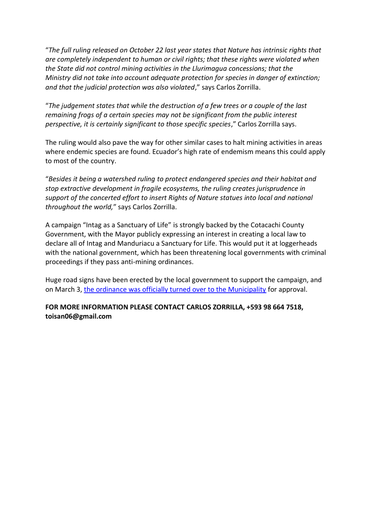"*The full ruling released on October 22 last year states that Nature has intrinsic rights that are completely independent to human or civil rights; that these rights were violated when the State did not control mining activities in the Llurimagua concessions; that the Ministry did not take into account adequate protection for species in danger of extinction; and that the judicial protection was also violated*," says Carlos Zorrilla.

"*The judgement states that while the destruction of a few trees or a couple of the last remaining frogs of a certain species may not be significant from the public interest perspective, it is certainly significant to those specific species*," Carlos Zorrilla says.

The ruling would also pave the way for other similar cases to halt mining activities in areas where endemic species are found. Ecuador's high rate of endemism means this could apply to most of the country.

"*Besides it being a watershed ruling to protect endangered species and their habitat and stop extractive development in fragile ecosystems, the ruling creates jurisprudence in support of the concerted effort to insert Rights of Nature statues into local and national throughout the world,*" says Carlos Zorrilla.

A campaign "Intag as a Sanctuary of Life" is strongly backed by the Cotacachi County Government, with the Mayor publicly expressing an interest in creating a local law to declare all of Intag and Manduriacu a Sanctuary for Life. This would put it at loggerheads with the national government, which has been threatening local governments with criminal proceedings if they pass anti-mining ordinances.

Huge road signs have been erected by the local government to support the campaign, and on March 3, [the ordinance was officially turned over to the Municipality](https://fb.watch/3-MRX-0ALl/) for approval.

## **FOR MORE INFORMATION PLEASE CONTACT CARLOS ZORRILLA, +593 98 664 7518, toisan06@gmail.com**